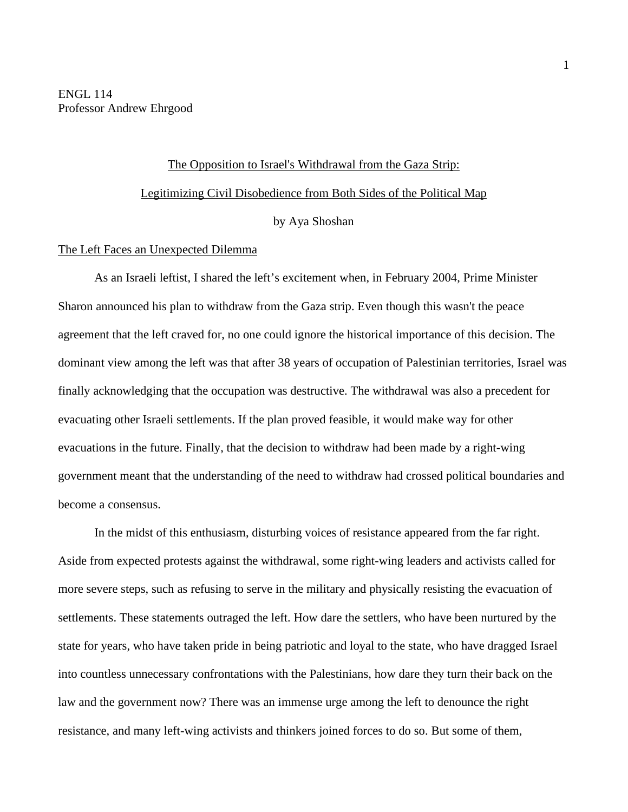ENGL 114 Professor Andrew Ehrgood

# The Opposition to Israel's Withdrawal from the Gaza Strip: Legitimizing Civil Disobedience from Both Sides of the Political Map by Aya Shoshan

## The Left Faces an Unexpected Dilemma

As an Israeli leftist, I shared the left's excitement when, in February 2004, Prime Minister Sharon announced his plan to withdraw from the Gaza strip. Even though this wasn't the peace agreement that the left craved for, no one could ignore the historical importance of this decision. The dominant view among the left was that after 38 years of occupation of Palestinian territories, Israel was finally acknowledging that the occupation was destructive. The withdrawal was also a precedent for evacuating other Israeli settlements. If the plan proved feasible, it would make way for other evacuations in the future. Finally, that the decision to withdraw had been made by a right-wing government meant that the understanding of the need to withdraw had crossed political boundaries and become a consensus.

In the midst of this enthusiasm, disturbing voices of resistance appeared from the far right. Aside from expected protests against the withdrawal, some right-wing leaders and activists called for more severe steps, such as refusing to serve in the military and physically resisting the evacuation of settlements. These statements outraged the left. How dare the settlers, who have been nurtured by the state for years, who have taken pride in being patriotic and loyal to the state, who have dragged Israel into countless unnecessary confrontations with the Palestinians, how dare they turn their back on the law and the government now? There was an immense urge among the left to denounce the right resistance, and many left-wing activists and thinkers joined forces to do so. But some of them,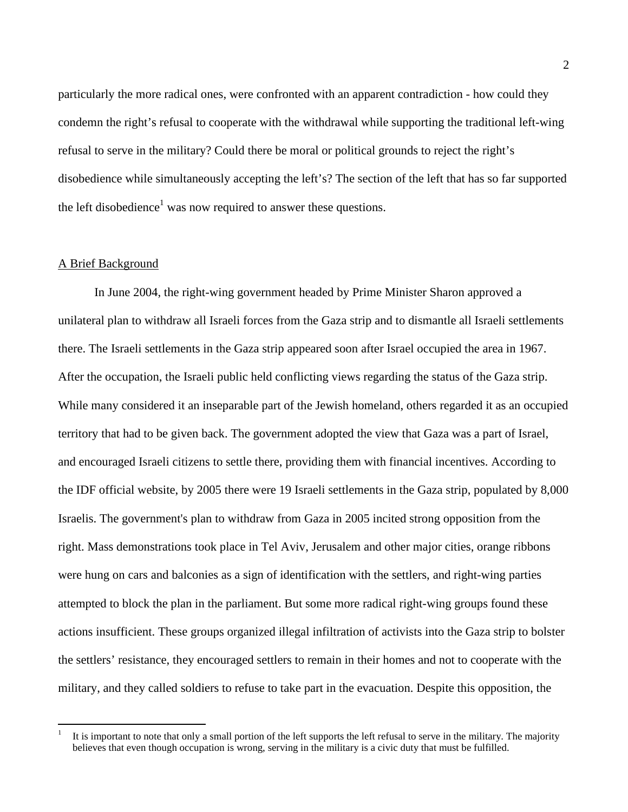particularly the more radical ones, were confronted with an apparent contradiction - how could they condemn the right's refusal to cooperate with the withdrawal while supporting the traditional left-wing refusal to serve in the military? Could there be moral or political grounds to reject the right's disobedience while simultaneously accepting the left's? The section of the left that has so far supported the left disobedience<sup>1</sup> was now required to answer these questions.

## A Brief Background

In June 2004, the right-wing government headed by Prime Minister Sharon approved a unilateral plan to withdraw all Israeli forces from the Gaza strip and to dismantle all Israeli settlements there. The Israeli settlements in the Gaza strip appeared soon after Israel occupied the area in 1967. After the occupation, the Israeli public held conflicting views regarding the status of the Gaza strip. While many considered it an inseparable part of the Jewish homeland, others regarded it as an occupied territory that had to be given back. The government adopted the view that Gaza was a part of Israel, and encouraged Israeli citizens to settle there, providing them with financial incentives. According to the IDF official website, by 2005 there were 19 Israeli settlements in the Gaza strip, populated by 8,000 Israelis. The government's plan to withdraw from Gaza in 2005 incited strong opposition from the right. Mass demonstrations took place in Tel Aviv, Jerusalem and other major cities, orange ribbons were hung on cars and balconies as a sign of identification with the settlers, and right-wing parties attempted to block the plan in the parliament. But some more radical right-wing groups found these actions insufficient. These groups organized illegal infiltration of activists into the Gaza strip to bolster the settlers' resistance, they encouraged settlers to remain in their homes and not to cooperate with the military, and they called soldiers to refuse to take part in the evacuation. Despite this opposition, the

 <sup>1</sup> It is important to note that only a small portion of the left supports the left refusal to serve in the military. The majority believes that even though occupation is wrong, serving in the military is a civic duty that must be fulfilled.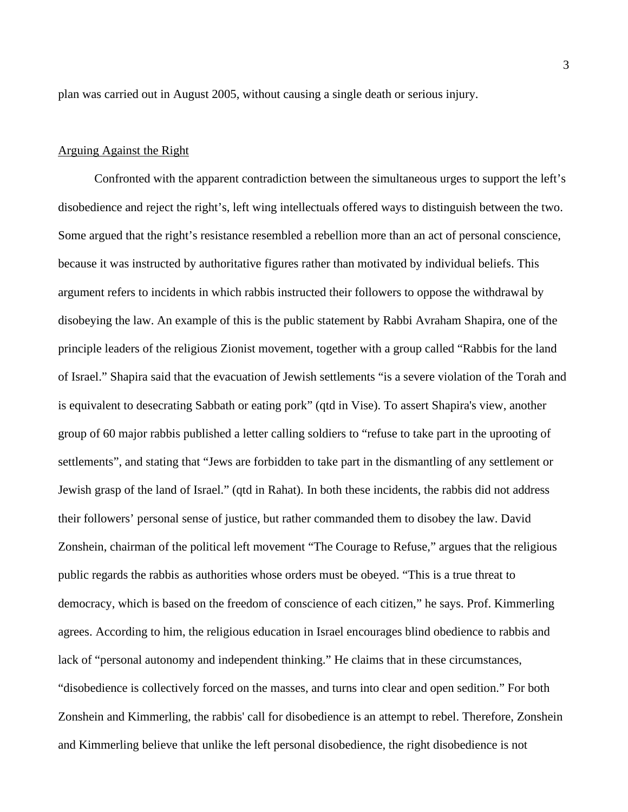plan was carried out in August 2005, without causing a single death or serious injury.

#### Arguing Against the Right

Confronted with the apparent contradiction between the simultaneous urges to support the left's disobedience and reject the right's, left wing intellectuals offered ways to distinguish between the two. Some argued that the right's resistance resembled a rebellion more than an act of personal conscience, because it was instructed by authoritative figures rather than motivated by individual beliefs. This argument refers to incidents in which rabbis instructed their followers to oppose the withdrawal by disobeying the law. An example of this is the public statement by Rabbi Avraham Shapira, one of the principle leaders of the religious Zionist movement, together with a group called "Rabbis for the land of Israel." Shapira said that the evacuation of Jewish settlements "is a severe violation of the Torah and is equivalent to desecrating Sabbath or eating pork" (qtd in Vise). To assert Shapira's view, another group of 60 major rabbis published a letter calling soldiers to "refuse to take part in the uprooting of settlements", and stating that "Jews are forbidden to take part in the dismantling of any settlement or Jewish grasp of the land of Israel." (qtd in Rahat). In both these incidents, the rabbis did not address their followers' personal sense of justice, but rather commanded them to disobey the law. David Zonshein, chairman of the political left movement "The Courage to Refuse," argues that the religious public regards the rabbis as authorities whose orders must be obeyed. "This is a true threat to democracy, which is based on the freedom of conscience of each citizen," he says. Prof. Kimmerling agrees. According to him, the religious education in Israel encourages blind obedience to rabbis and lack of "personal autonomy and independent thinking." He claims that in these circumstances, "disobedience is collectively forced on the masses, and turns into clear and open sedition." For both Zonshein and Kimmerling, the rabbis' call for disobedience is an attempt to rebel. Therefore, Zonshein and Kimmerling believe that unlike the left personal disobedience, the right disobedience is not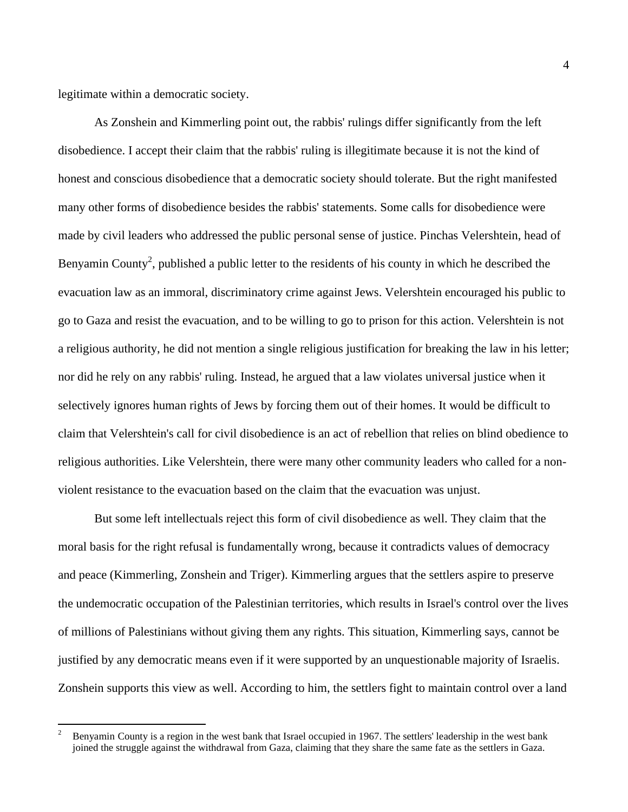legitimate within a democratic society.

As Zonshein and Kimmerling point out, the rabbis' rulings differ significantly from the left disobedience. I accept their claim that the rabbis' ruling is illegitimate because it is not the kind of honest and conscious disobedience that a democratic society should tolerate. But the right manifested many other forms of disobedience besides the rabbis' statements. Some calls for disobedience were made by civil leaders who addressed the public personal sense of justice. Pinchas Velershtein, head of Benyamin County<sup>2</sup>, published a public letter to the residents of his county in which he described the evacuation law as an immoral, discriminatory crime against Jews. Velershtein encouraged his public to go to Gaza and resist the evacuation, and to be willing to go to prison for this action. Velershtein is not a religious authority, he did not mention a single religious justification for breaking the law in his letter; nor did he rely on any rabbis' ruling. Instead, he argued that a law violates universal justice when it selectively ignores human rights of Jews by forcing them out of their homes. It would be difficult to claim that Velershtein's call for civil disobedience is an act of rebellion that relies on blind obedience to religious authorities. Like Velershtein, there were many other community leaders who called for a nonviolent resistance to the evacuation based on the claim that the evacuation was unjust.

But some left intellectuals reject this form of civil disobedience as well. They claim that the moral basis for the right refusal is fundamentally wrong, because it contradicts values of democracy and peace (Kimmerling, Zonshein and Triger). Kimmerling argues that the settlers aspire to preserve the undemocratic occupation of the Palestinian territories, which results in Israel's control over the lives of millions of Palestinians without giving them any rights. This situation, Kimmerling says, cannot be justified by any democratic means even if it were supported by an unquestionable majority of Israelis. Zonshein supports this view as well. According to him, the settlers fight to maintain control over a land

 <sup>2</sup> Benyamin County is a region in the west bank that Israel occupied in 1967. The settlers' leadership in the west bank joined the struggle against the withdrawal from Gaza, claiming that they share the same fate as the settlers in Gaza.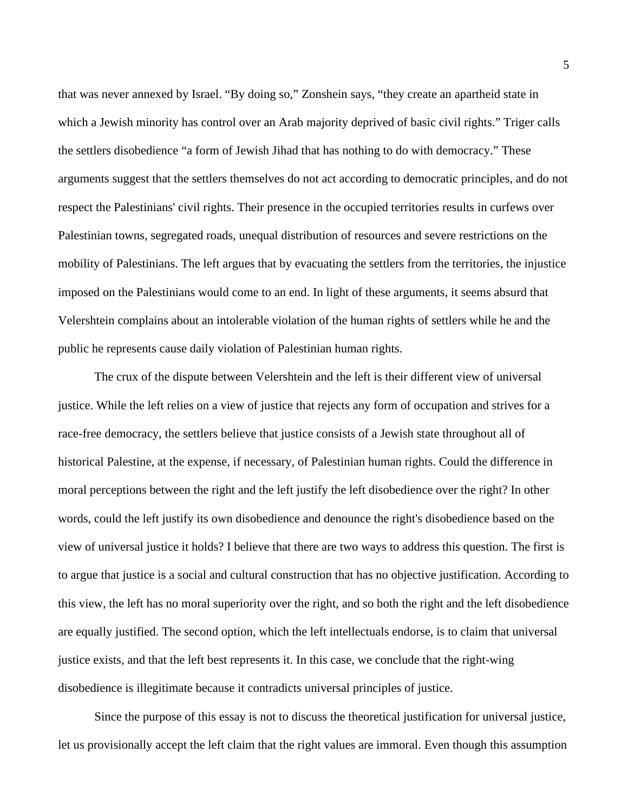that was never annexed by Israel. "By doing so," Zonshein says, "they create an apartheid state in which a Jewish minority has control over an Arab majority deprived of basic civil rights." Triger calls the settlers disobedience "a form of Jewish Jihad that has nothing to do with democracy." These arguments suggest that the settlers themselves do not act according to democratic principles, and do not respect the Palestinians' civil rights. Their presence in the occupied territories results in curfews over Palestinian towns, segregated roads, unequal distribution of resources and severe restrictions on the mobility of Palestinians. The left argues that by evacuating the settlers from the territories, the injustice imposed on the Palestinians would come to an end. In light of these arguments, it seems absurd that Velershtein complains about an intolerable violation of the human rights of settlers while he and the public he represents cause daily violation of Palestinian human rights.

The crux of the dispute between Velershtein and the left is their different view of universal justice. While the left relies on a view of justice that rejects any form of occupation and strives for a race-free democracy, the settlers believe that justice consists of a Jewish state throughout all of historical Palestine, at the expense, if necessary, of Palestinian human rights. Could the difference in moral perceptions between the right and the left justify the left disobedience over the right? In other words, could the left justify its own disobedience and denounce the right's disobedience based on the view of universal justice it holds? I believe that there are two ways to address this question. The first is to argue that justice is a social and cultural construction that has no objective justification. According to this view, the left has no moral superiority over the right, and so both the right and the left disobedience are equally justified. The second option, which the left intellectuals endorse, is to claim that universal justice exists, and that the left best represents it. In this case, we conclude that the right-wing disobedience is illegitimate because it contradicts universal principles of justice.

Since the purpose of this essay is not to discuss the theoretical justification for universal justice, let us provisionally accept the left claim that the right values are immoral. Even though this assumption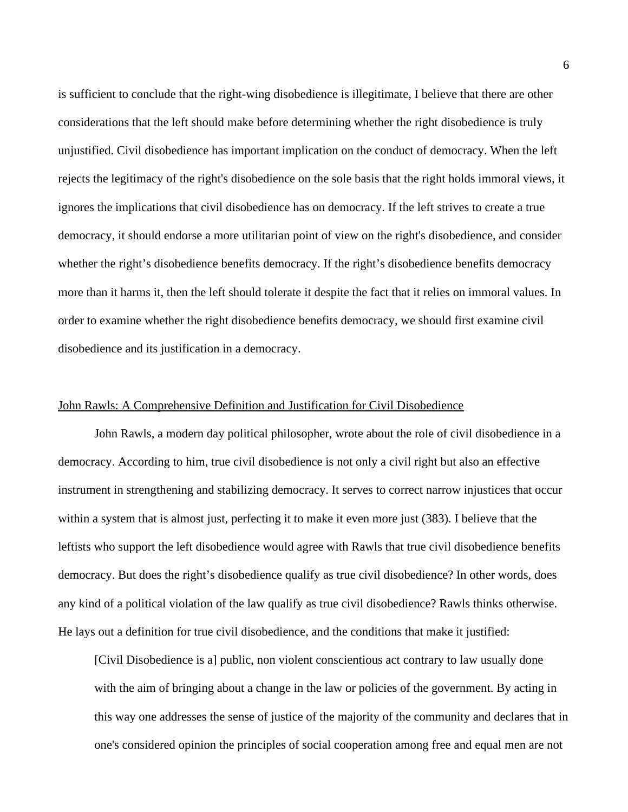is sufficient to conclude that the right-wing disobedience is illegitimate, I believe that there are other considerations that the left should make before determining whether the right disobedience is truly unjustified. Civil disobedience has important implication on the conduct of democracy. When the left rejects the legitimacy of the right's disobedience on the sole basis that the right holds immoral views, it ignores the implications that civil disobedience has on democracy. If the left strives to create a true democracy, it should endorse a more utilitarian point of view on the right's disobedience, and consider whether the right's disobedience benefits democracy. If the right's disobedience benefits democracy more than it harms it, then the left should tolerate it despite the fact that it relies on immoral values. In order to examine whether the right disobedience benefits democracy, we should first examine civil disobedience and its justification in a democracy.

## John Rawls: A Comprehensive Definition and Justification for Civil Disobedience

John Rawls, a modern day political philosopher, wrote about the role of civil disobedience in a democracy. According to him, true civil disobedience is not only a civil right but also an effective instrument in strengthening and stabilizing democracy. It serves to correct narrow injustices that occur within a system that is almost just, perfecting it to make it even more just (383). I believe that the leftists who support the left disobedience would agree with Rawls that true civil disobedience benefits democracy. But does the right's disobedience qualify as true civil disobedience? In other words, does any kind of a political violation of the law qualify as true civil disobedience? Rawls thinks otherwise. He lays out a definition for true civil disobedience, and the conditions that make it justified:

[Civil Disobedience is a] public, non violent conscientious act contrary to law usually done with the aim of bringing about a change in the law or policies of the government. By acting in this way one addresses the sense of justice of the majority of the community and declares that in one's considered opinion the principles of social cooperation among free and equal men are not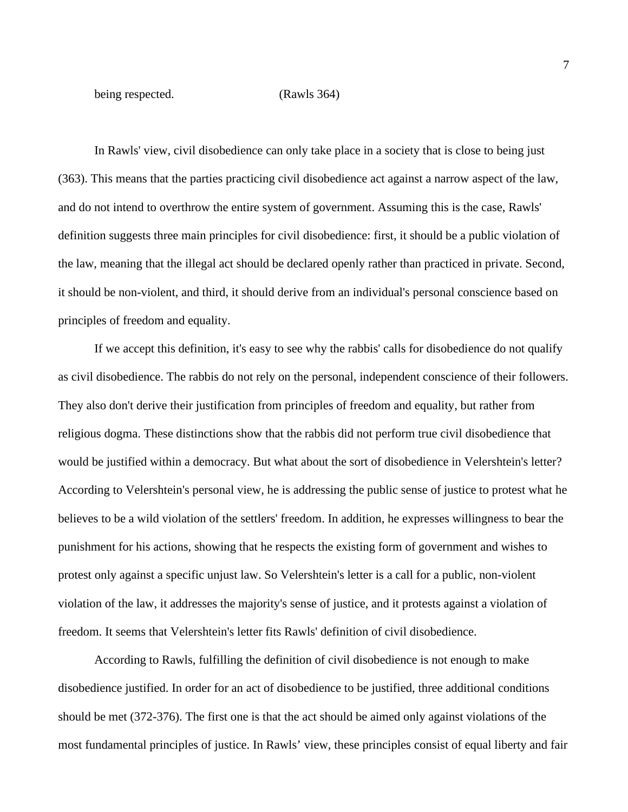being respected. (Rawls 364)

In Rawls' view, civil disobedience can only take place in a society that is close to being just (363). This means that the parties practicing civil disobedience act against a narrow aspect of the law, and do not intend to overthrow the entire system of government. Assuming this is the case, Rawls' definition suggests three main principles for civil disobedience: first, it should be a public violation of the law, meaning that the illegal act should be declared openly rather than practiced in private. Second, it should be non-violent, and third, it should derive from an individual's personal conscience based on principles of freedom and equality.

If we accept this definition, it's easy to see why the rabbis' calls for disobedience do not qualify as civil disobedience. The rabbis do not rely on the personal, independent conscience of their followers. They also don't derive their justification from principles of freedom and equality, but rather from religious dogma. These distinctions show that the rabbis did not perform true civil disobedience that would be justified within a democracy. But what about the sort of disobedience in Velershtein's letter? According to Velershtein's personal view, he is addressing the public sense of justice to protest what he believes to be a wild violation of the settlers' freedom. In addition, he expresses willingness to bear the punishment for his actions, showing that he respects the existing form of government and wishes to protest only against a specific unjust law. So Velershtein's letter is a call for a public, non-violent violation of the law, it addresses the majority's sense of justice, and it protests against a violation of freedom. It seems that Velershtein's letter fits Rawls' definition of civil disobedience.

According to Rawls, fulfilling the definition of civil disobedience is not enough to make disobedience justified. In order for an act of disobedience to be justified, three additional conditions should be met (372-376). The first one is that the act should be aimed only against violations of the most fundamental principles of justice. In Rawls' view, these principles consist of equal liberty and fair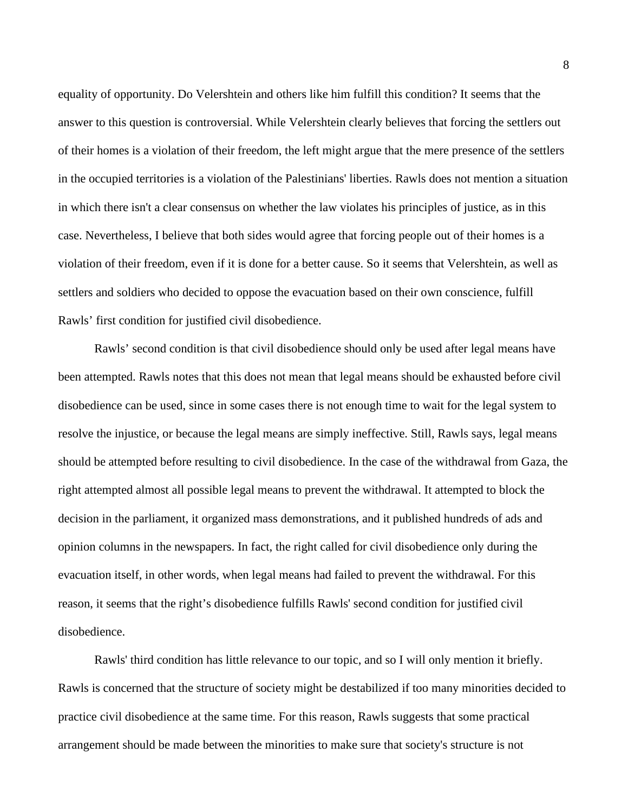equality of opportunity. Do Velershtein and others like him fulfill this condition? It seems that the answer to this question is controversial. While Velershtein clearly believes that forcing the settlers out of their homes is a violation of their freedom, the left might argue that the mere presence of the settlers in the occupied territories is a violation of the Palestinians' liberties. Rawls does not mention a situation in which there isn't a clear consensus on whether the law violates his principles of justice, as in this case. Nevertheless, I believe that both sides would agree that forcing people out of their homes is a violation of their freedom, even if it is done for a better cause. So it seems that Velershtein, as well as settlers and soldiers who decided to oppose the evacuation based on their own conscience, fulfill Rawls' first condition for justified civil disobedience.

Rawls' second condition is that civil disobedience should only be used after legal means have been attempted. Rawls notes that this does not mean that legal means should be exhausted before civil disobedience can be used, since in some cases there is not enough time to wait for the legal system to resolve the injustice, or because the legal means are simply ineffective. Still, Rawls says, legal means should be attempted before resulting to civil disobedience. In the case of the withdrawal from Gaza, the right attempted almost all possible legal means to prevent the withdrawal. It attempted to block the decision in the parliament, it organized mass demonstrations, and it published hundreds of ads and opinion columns in the newspapers. In fact, the right called for civil disobedience only during the evacuation itself, in other words, when legal means had failed to prevent the withdrawal. For this reason, it seems that the right's disobedience fulfills Rawls' second condition for justified civil disobedience.

Rawls' third condition has little relevance to our topic, and so I will only mention it briefly. Rawls is concerned that the structure of society might be destabilized if too many minorities decided to practice civil disobedience at the same time. For this reason, Rawls suggests that some practical arrangement should be made between the minorities to make sure that society's structure is not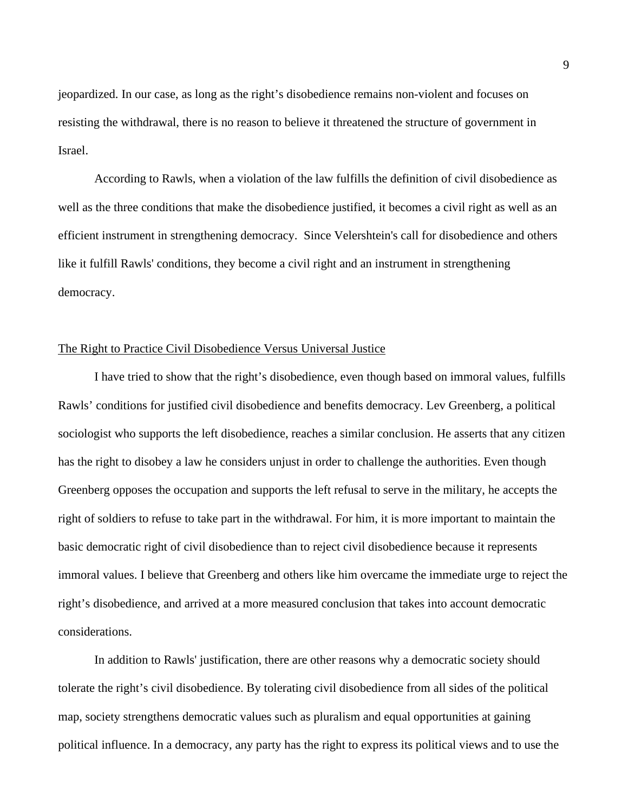jeopardized. In our case, as long as the right's disobedience remains non-violent and focuses on resisting the withdrawal, there is no reason to believe it threatened the structure of government in Israel.

According to Rawls, when a violation of the law fulfills the definition of civil disobedience as well as the three conditions that make the disobedience justified, it becomes a civil right as well as an efficient instrument in strengthening democracy. Since Velershtein's call for disobedience and others like it fulfill Rawls' conditions, they become a civil right and an instrument in strengthening democracy.

#### The Right to Practice Civil Disobedience Versus Universal Justice

I have tried to show that the right's disobedience, even though based on immoral values, fulfills Rawls' conditions for justified civil disobedience and benefits democracy. Lev Greenberg, a political sociologist who supports the left disobedience, reaches a similar conclusion. He asserts that any citizen has the right to disobey a law he considers unjust in order to challenge the authorities. Even though Greenberg opposes the occupation and supports the left refusal to serve in the military, he accepts the right of soldiers to refuse to take part in the withdrawal. For him, it is more important to maintain the basic democratic right of civil disobedience than to reject civil disobedience because it represents immoral values. I believe that Greenberg and others like him overcame the immediate urge to reject the right's disobedience, and arrived at a more measured conclusion that takes into account democratic considerations.

In addition to Rawls' justification, there are other reasons why a democratic society should tolerate the right's civil disobedience. By tolerating civil disobedience from all sides of the political map, society strengthens democratic values such as pluralism and equal opportunities at gaining political influence. In a democracy, any party has the right to express its political views and to use the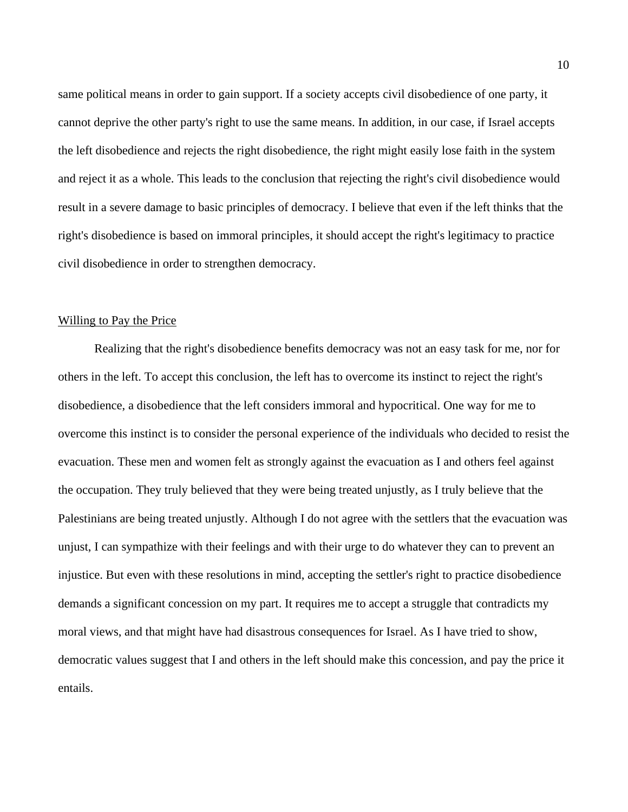same political means in order to gain support. If a society accepts civil disobedience of one party, it cannot deprive the other party's right to use the same means. In addition, in our case, if Israel accepts the left disobedience and rejects the right disobedience, the right might easily lose faith in the system and reject it as a whole. This leads to the conclusion that rejecting the right's civil disobedience would result in a severe damage to basic principles of democracy. I believe that even if the left thinks that the right's disobedience is based on immoral principles, it should accept the right's legitimacy to practice civil disobedience in order to strengthen democracy.

#### Willing to Pay the Price

Realizing that the right's disobedience benefits democracy was not an easy task for me, nor for others in the left. To accept this conclusion, the left has to overcome its instinct to reject the right's disobedience, a disobedience that the left considers immoral and hypocritical. One way for me to overcome this instinct is to consider the personal experience of the individuals who decided to resist the evacuation. These men and women felt as strongly against the evacuation as I and others feel against the occupation. They truly believed that they were being treated unjustly, as I truly believe that the Palestinians are being treated unjustly. Although I do not agree with the settlers that the evacuation was unjust, I can sympathize with their feelings and with their urge to do whatever they can to prevent an injustice. But even with these resolutions in mind, accepting the settler's right to practice disobedience demands a significant concession on my part. It requires me to accept a struggle that contradicts my moral views, and that might have had disastrous consequences for Israel. As I have tried to show, democratic values suggest that I and others in the left should make this concession, and pay the price it entails.